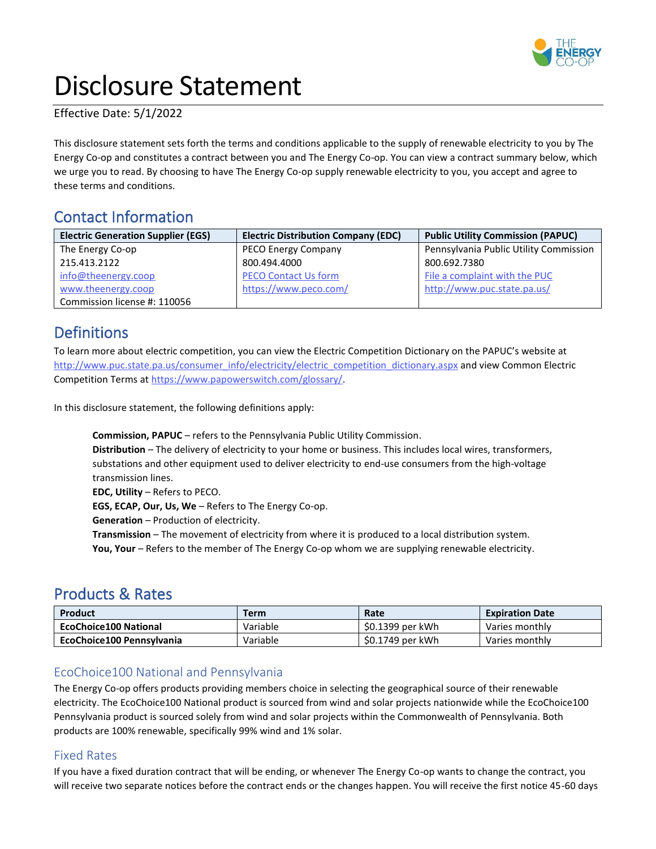

# Disclosure Statement

Effective Date: 5/1/2022

This disclosure statement sets forth the terms and conditions applicable to the supply of renewable electricity to you by The Energy Co-op and constitutes a contract between you and The Energy Co-op. You can view a contract summary below, which we urge you to read. By choosing to have The Energy Co-op supply renewable electricity to you, you accept and agree to these terms and conditions.

# Contact Information

| <b>Electric Generation Supplier (EGS)</b> | <b>Electric Distribution Company (EDC)</b> | <b>Public Utility Commission (PAPUC)</b> |
|-------------------------------------------|--------------------------------------------|------------------------------------------|
| The Energy Co-op                          | PECO Energy Company                        | Pennsylvania Public Utility Commission   |
| 215.413.2122                              | 800.494.4000                               | 800.692.7380                             |
| info@theenergy.coop                       | <b>PECO Contact Us form</b>                | File a complaint with the PUC            |
| www.theenergy.coop                        | https://www.peco.com/                      | http://www.puc.state.pa.us/              |
| Commission license #: 110056              |                                            |                                          |

# Definitions

To learn more about electric competition, you can view the Electric Competition Dictionary on the PAPUC's website at [http://www.puc.state.pa.us/consumer\\_info/electricity/electric\\_competition\\_dictionary.aspx](http://www.puc.state.pa.us/consumer_info/electricity/electric_competition_dictionary.aspx) and view Common Electric Competition Terms at [https://www.papowerswitch.com/glossary/.](https://www.papowerswitch.com/glossary/)

In this disclosure statement, the following definitions apply:

**Commission, PAPUC** – refers to the Pennsylvania Public Utility Commission. **Distribution** – The delivery of electricity to your home or business. This includes local wires, transformers, substations and other equipment used to deliver electricity to end-use consumers from the high-voltage transmission lines. **EDC, Utility** – Refers to PECO.

**EGS, ECAP, Our, Us, We** – Refers to The Energy Co-op.

**Generation** – Production of electricity.

**Transmission** – The movement of electricity from where it is produced to a local distribution system.

**You, Your** – Refers to the member of The Energy Co-op whom we are supplying renewable electricity.

# Products & Rates

| Product                      | <b>Term</b> | Rate             | <b>Expiration Date</b> |
|------------------------------|-------------|------------------|------------------------|
| <b>EcoChoice100 National</b> | Variable    | \$0.1399 per kWh | Varies monthly         |
| EcoChoice100 Pennsylvania    | Variable    | \$0.1749 per kWh | Varies monthly         |

## EcoChoice100 National and Pennsylvania

The Energy Co-op offers products providing members choice in selecting the geographical source of their renewable electricity. The EcoChoice100 National product is sourced from wind and solar projects nationwide while the EcoChoice100 Pennsylvania product is sourced solely from wind and solar projects within the Commonwealth of Pennsylvania. Both products are 100% renewable, specifically 99% wind and 1% solar.

## Fixed Rates

If you have a fixed duration contract that will be ending, or whenever The Energy Co-op wants to change the contract, you will receive two separate notices before the contract ends or the changes happen. You will receive the first notice 45-60 days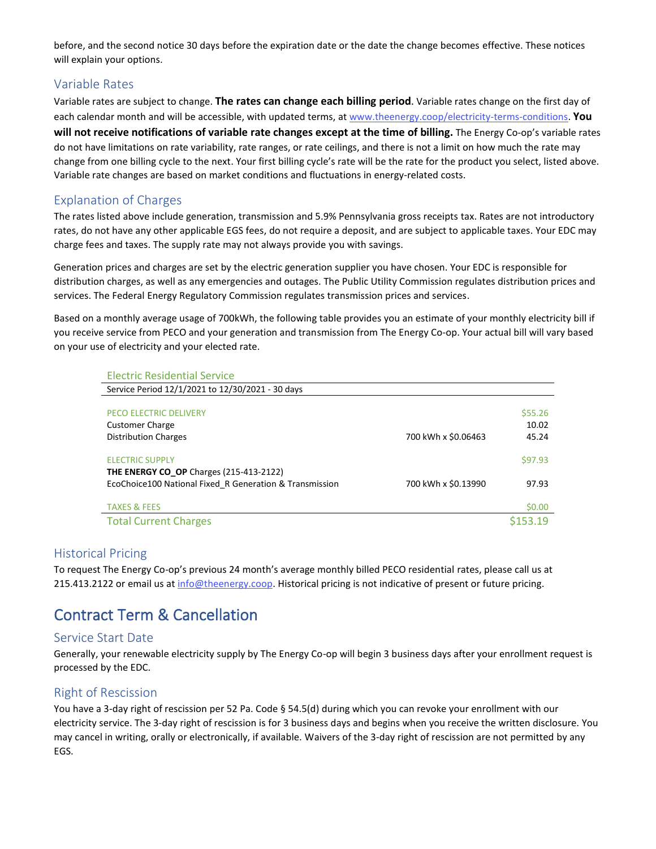before, and the second notice 30 days before the expiration date or the date the change becomes effective. These notices will explain your options.

#### Variable Rates

Variable rates are subject to change. **The rates can change each billing period**. Variable rates change on the first day of each calendar month and will be accessible, with updated terms, at [www.theenergy.coop/electricity-terms-conditions.](http://www.theenergy.coop/electricity-terms-conditions) **You will not receive notifications of variable rate changes except at the time of billing.** The Energy Co-op's variable rates do not have limitations on rate variability, rate ranges, or rate ceilings, and there is not a limit on how much the rate may change from one billing cycle to the next. Your first billing cycle's rate will be the rate for the product you select, listed above. Variable rate changes are based on market conditions and fluctuations in energy-related costs.

### Explanation of Charges

The rates listed above include generation, transmission and 5.9% Pennsylvania gross receipts tax. Rates are not introductory rates, do not have any other applicable EGS fees, do not require a deposit, and are subject to applicable taxes. Your EDC may charge fees and taxes. The supply rate may not always provide you with savings.

Generation prices and charges are set by the electric generation supplier you have chosen. Your EDC is responsible for distribution charges, as well as any emergencies and outages. The Public Utility Commission regulates distribution prices and services. The Federal Energy Regulatory Commission regulates transmission prices and services.

Based on a monthly average usage of 700kWh, the following table provides you an estimate of your monthly electricity bill if you receive service from PECO and your generation and transmission from The Energy Co-op. Your actual bill will vary based on your use of electricity and your elected rate.

| <b>Electric Residential Service</b>                     |                     |         |
|---------------------------------------------------------|---------------------|---------|
| Service Period 12/1/2021 to 12/30/2021 - 30 days        |                     |         |
|                                                         |                     |         |
| <b>PECO ELECTRIC DELIVERY</b>                           |                     | \$55.26 |
| <b>Customer Charge</b>                                  |                     | 10.02   |
| <b>Distribution Charges</b>                             | 700 kWh x \$0.06463 | 45.24   |
|                                                         |                     |         |
| <b>ELECTRIC SUPPLY</b>                                  |                     | \$97.93 |
| <b>THE ENERGY CO OP Charges (215-413-2122)</b>          |                     |         |
| EcoChoice100 National Fixed R Generation & Transmission | 700 kWh x \$0.13990 | 97.93   |
|                                                         |                     |         |
| <b>TAXES &amp; FEES</b>                                 |                     | \$0.00  |
| <b>Total Current Charges</b>                            |                     |         |

#### Historical Pricing

To request The Energy Co-op's previous 24 month's average monthly billed PECO residential rates, please call us at 215.413.2122 or email us at [info@theenergy.coop.](mailto:info@theenergy.coop) Historical pricing is not indicative of present or future pricing.

# Contract Term & Cancellation

#### Service Start Date

Generally, your renewable electricity supply by The Energy Co-op will begin 3 business days after your enrollment request is processed by the EDC.

#### Right of Rescission

You have a 3-day right of rescission per 52 Pa. Code § 54.5(d) during which you can revoke your enrollment with our electricity service. The 3-day right of rescission is for 3 business days and begins when you receive the written disclosure. You may cancel in writing, orally or electronically, if available. Waivers of the 3-day right of rescission are not permitted by any EGS.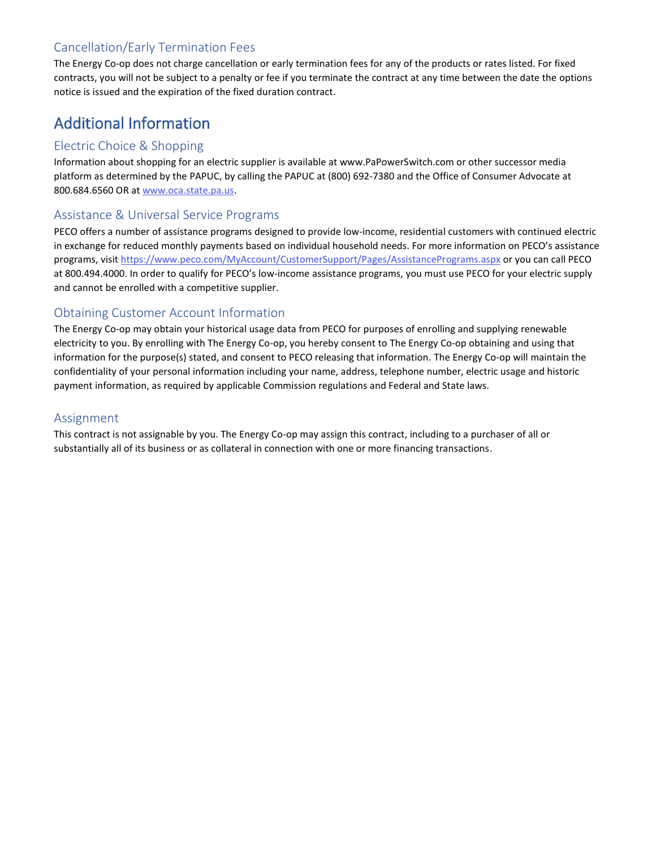## Cancellation/Early Termination Fees

The Energy Co-op does not charge cancellation or early termination fees for any of the products or rates listed. For fixed contracts, you will not be subject to a penalty or fee if you terminate the contract at any time between the date the options notice is issued and the expiration of the fixed duration contract.

# Additional Information

## Electric Choice & Shopping

Information about shopping for an electric supplier is available at www.PaPowerSwitch.com or other successor media platform as determined by the PAPUC, by calling the PAPUC at (800) 692-7380 and the Office of Consumer Advocate at 800.684.6560 OR at [www.oca.state.pa.us.](http://www.oca.state.pa.us/)

### Assistance & Universal Service Programs

PECO offers a number of assistance programs designed to provide low-income, residential customers with continued electric in exchange for reduced monthly payments based on individual household needs. For more information on PECO's assistance programs, visi[t https://www.peco.com/MyAccount/CustomerSupport/Pages/AssistancePrograms.aspx](https://www.peco.com/MyAccount/CustomerSupport/Pages/AssistancePrograms.aspx) or you can call PECO at 800.494.4000. In order to qualify for PECO's low-income assistance programs, you must use PECO for your electric supply and cannot be enrolled with a competitive supplier.

## Obtaining Customer Account Information

The Energy Co-op may obtain your historical usage data from PECO for purposes of enrolling and supplying renewable electricity to you. By enrolling with The Energy Co-op, you hereby consent to The Energy Co-op obtaining and using that information for the purpose(s) stated, and consent to PECO releasing that information. The Energy Co-op will maintain the confidentiality of your personal information including your name, address, telephone number, electric usage and historic payment information, as required by applicable Commission regulations and Federal and State laws.

## Assignment

This contract is not assignable by you. The Energy Co-op may assign this contract, including to a purchaser of all or substantially all of its business or as collateral in connection with one or more financing transactions.